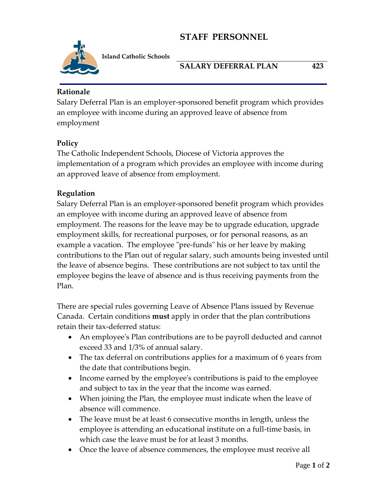# **STAFF PERSONNEL**



**Island Catholic Schools** 

### **SALARY DEFERRAL PLAN 423**

### **Rationale**

Salary Deferral Plan is an employer-sponsored benefit program which provides an employee with income during an approved leave of absence from employment

### **Policy**

The Catholic Independent Schools, Diocese of Victoria approves the implementation of a program which provides an employee with income during an approved leave of absence from employment.

### **Regulation**

Salary Deferral Plan is an employer-sponsored benefit program which provides an employee with income during an approved leave of absence from employment. The reasons for the leave may be to upgrade education, upgrade employment skills, for recreational purposes, or for personal reasons, as an example a vacation. The employee "pre-funds" his or her leave by making contributions to the Plan out of regular salary, such amounts being invested until the leave of absence begins. These contributions are not subject to tax until the employee begins the leave of absence and is thus receiving payments from the Plan.

There are special rules governing Leave of Absence Plans issued by Revenue Canada. Certain conditions **must** apply in order that the plan contributions retain their tax-deferred status:

- An employee's Plan contributions are to be payroll deducted and cannot exceed 33 and 1/3% of annual salary.
- The tax deferral on contributions applies for a maximum of 6 years from the date that contributions begin.
- Income earned by the employee's contributions is paid to the employee and subject to tax in the year that the income was earned.
- When joining the Plan, the employee must indicate when the leave of absence will commence.
- The leave must be at least 6 consecutive months in length, unless the employee is attending an educational institute on a full-time basis, in which case the leave must be for at least 3 months.
- Once the leave of absence commences, the employee must receive all